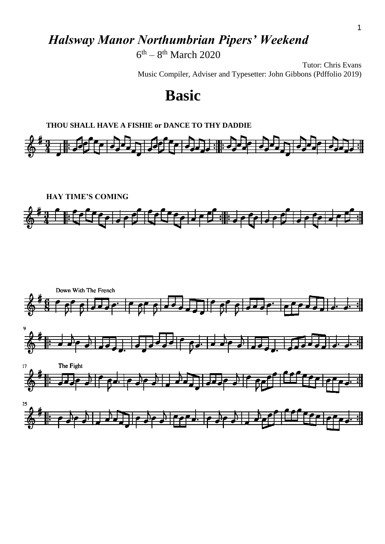# *Halsway Manor Northumbrian Pipers' Weekend*

 $6<sup>th</sup> - 8<sup>th</sup> March 2020$ 

Tutor: Chris Evans Music Compiler, Adviser and Typesetter: John Gibbons (Pdffolio 2019)

# **Basic**





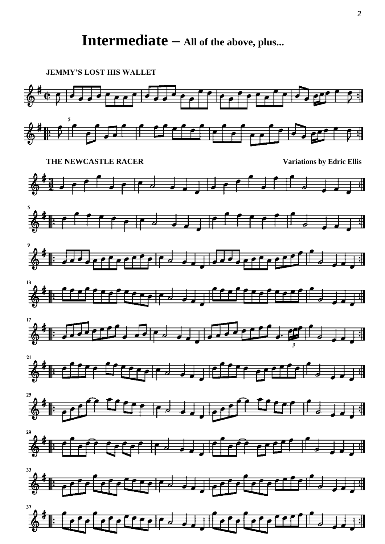# **Intermediate – All of the above, plus...**

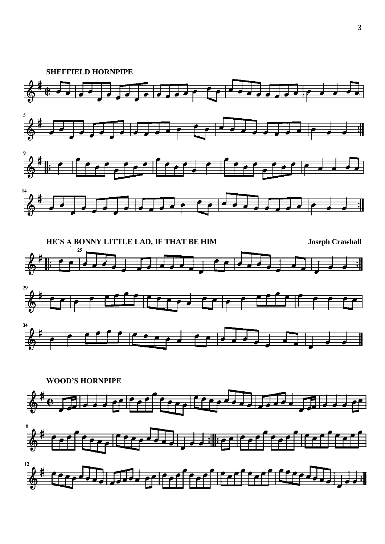





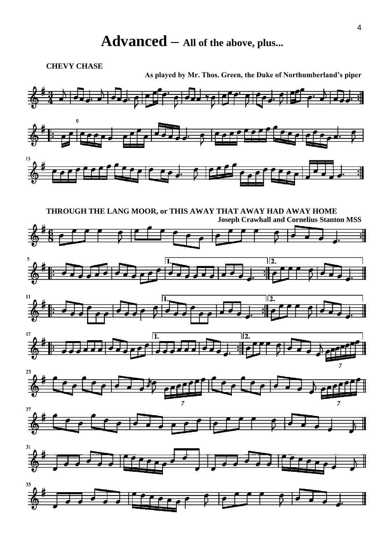# **Advanced – All of the above, plus...**

**CHEVY CHASE**

**As played by Mr. Thos. Green, the Duke of Northumberland's piper**

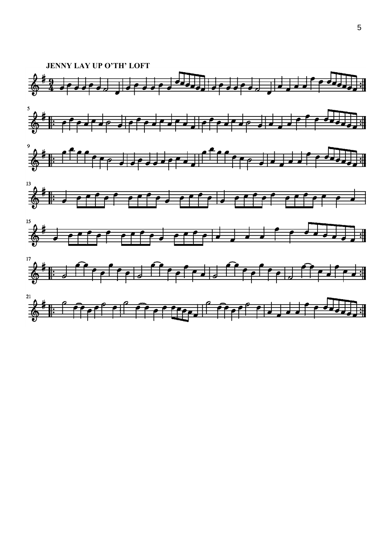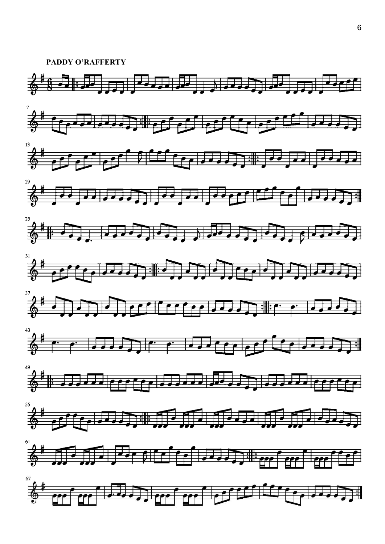**PADDY O'RAFFERTY**